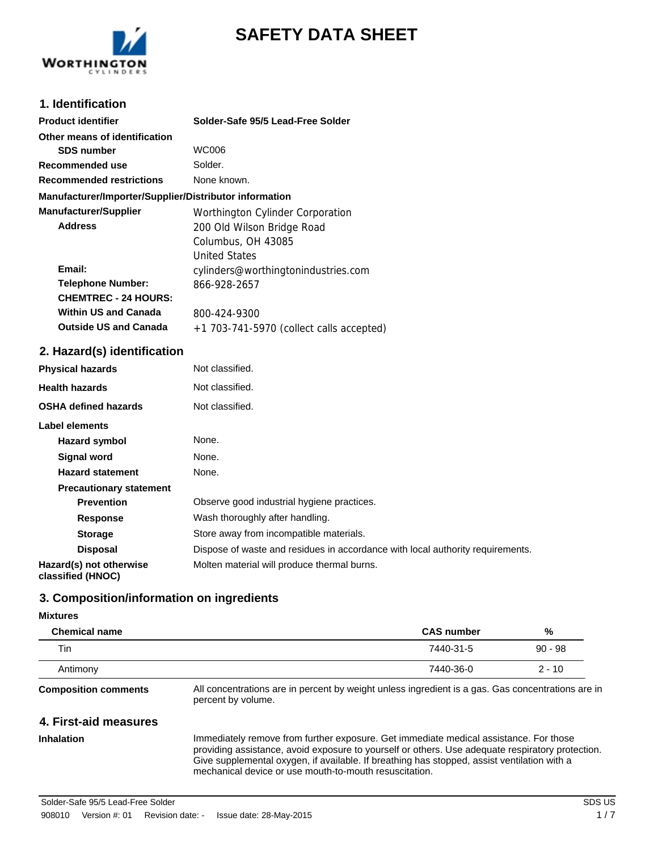

# **SAFETY DATA SHEET**

## **1. Identification**

| <b>Product identifier</b>                              | Solder-Safe 95/5 Lead-Free Solder        |
|--------------------------------------------------------|------------------------------------------|
| Other means of identification                          |                                          |
| <b>SDS number</b>                                      | WC006                                    |
| Recommended use                                        | Solder.                                  |
| <b>Recommended restrictions</b>                        | None known.                              |
| Manufacturer/Importer/Supplier/Distributor information |                                          |
| <b>Manufacturer/Supplier</b>                           | Worthington Cylinder Corporation         |
| <b>Address</b>                                         | 200 Old Wilson Bridge Road               |
|                                                        | Columbus, OH 43085                       |
|                                                        | United States                            |
| Email:                                                 | cylinders@worthingtonindustries.com      |
| <b>Telephone Number:</b>                               | 866-928-2657                             |
| <b>CHEMTREC - 24 HOURS:</b>                            |                                          |
| <b>Within US and Canada</b>                            | 800-424-9300                             |
| <b>Outside US and Canada</b>                           | +1 703-741-5970 (collect calls accepted) |
|                                                        |                                          |

## **2. Hazard(s) identification**

| <b>Physical hazards</b>                      | Not classified.                                                                |
|----------------------------------------------|--------------------------------------------------------------------------------|
| <b>Health hazards</b>                        | Not classified.                                                                |
| <b>OSHA defined hazards</b>                  | Not classified.                                                                |
| Label elements                               |                                                                                |
| Hazard symbol                                | None.                                                                          |
| <b>Signal word</b>                           | None.                                                                          |
| <b>Hazard statement</b>                      | None.                                                                          |
| <b>Precautionary statement</b>               |                                                                                |
| <b>Prevention</b>                            | Observe good industrial hygiene practices.                                     |
| Response                                     | Wash thoroughly after handling.                                                |
| <b>Storage</b>                               | Store away from incompatible materials.                                        |
| <b>Disposal</b>                              | Dispose of waste and residues in accordance with local authority requirements. |
| Hazard(s) not otherwise<br>classified (HNOC) | Molten material will produce thermal burns.                                    |

## **3. Composition/information on ingredients**

#### **Mixtures**

| <b>Chemical name</b> | <b>CAS number</b> | %         |
|----------------------|-------------------|-----------|
| Tin                  | 7440-31-5         | $90 - 98$ |
| Antimony             | 7440-36-0         | $2 - 10$  |
|                      |                   |           |

**Composition comments**

All concentrations are in percent by weight unless ingredient is a gas. Gas concentrations are in percent by volume.

## **4. First-aid measures**

**Inhalation**

Immediately remove from further exposure. Get immediate medical assistance. For those providing assistance, avoid exposure to yourself or others. Use adequate respiratory protection. Give supplemental oxygen, if available. If breathing has stopped, assist ventilation with a mechanical device or use mouth-to-mouth resuscitation.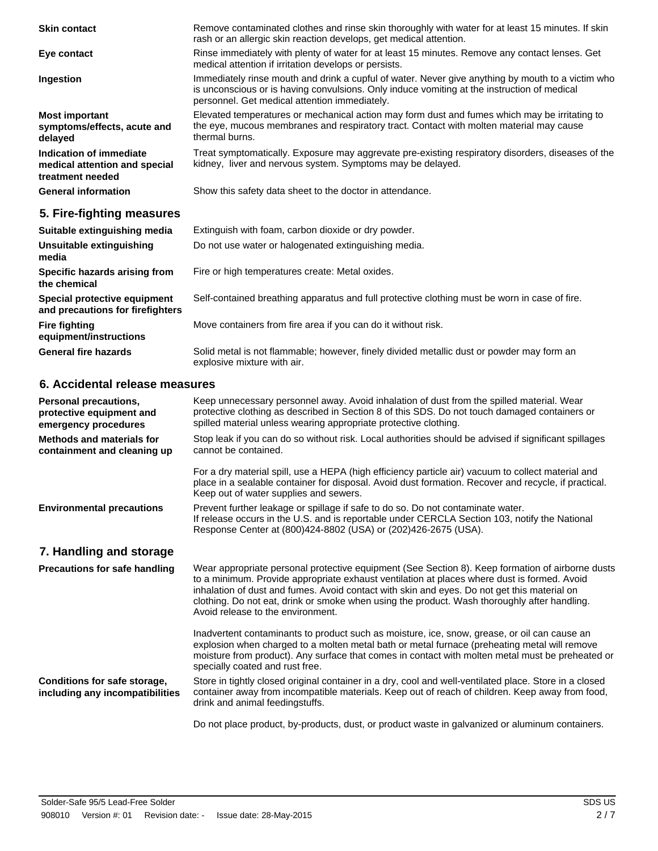| <b>Skin contact</b>                                                          | Remove contaminated clothes and rinse skin thoroughly with water for at least 15 minutes. If skin<br>rash or an allergic skin reaction develops, get medical attention.                                                                           |
|------------------------------------------------------------------------------|---------------------------------------------------------------------------------------------------------------------------------------------------------------------------------------------------------------------------------------------------|
| Eye contact                                                                  | Rinse immediately with plenty of water for at least 15 minutes. Remove any contact lenses. Get<br>medical attention if irritation develops or persists.                                                                                           |
| Ingestion                                                                    | Immediately rinse mouth and drink a cupful of water. Never give anything by mouth to a victim who<br>is unconscious or is having convulsions. Only induce vomiting at the instruction of medical<br>personnel. Get medical attention immediately. |
| <b>Most important</b><br>symptoms/effects, acute and<br>delayed              | Elevated temperatures or mechanical action may form dust and fumes which may be irritating to<br>the eye, mucous membranes and respiratory tract. Contact with molten material may cause<br>thermal burns.                                        |
| Indication of immediate<br>medical attention and special<br>treatment needed | Treat symptomatically. Exposure may aggrevate pre-existing respiratory disorders, diseases of the<br>kidney, liver and nervous system. Symptoms may be delayed.                                                                                   |
| <b>General information</b>                                                   | Show this safety data sheet to the doctor in attendance.                                                                                                                                                                                          |
| 5. Fire-fighting measures                                                    |                                                                                                                                                                                                                                                   |
| Suitable extinguishing media                                                 | Extinguish with foam, carbon dioxide or dry powder.                                                                                                                                                                                               |

**Unsuitable extinguishing** Do not use water or halogenated extinguishing media. **media Specific hazards arising from** Fire or high temperatures create: Metal oxides. **the chemical Special protective equipment** Self-contained breathing apparatus and full protective clothing must be worn in case of fire. **and precautions for firefighters Fire fighting** Move containers from fire area if you can do it without risk. **equipment/instructions** Solid metal is not flammable; however, finely divided metallic dust or powder may form an **General fire hazards**

explosive mixture with air.

**6. Accidental release measures**

| <b>Personal precautions,</b><br>protective equipment and<br>emergency procedures | Keep unnecessary personnel away. Avoid inhalation of dust from the spilled material. Wear<br>protective clothing as described in Section 8 of this SDS. Do not touch damaged containers or<br>spilled material unless wearing appropriate protective clothing.                                                                                                                                                                      |
|----------------------------------------------------------------------------------|-------------------------------------------------------------------------------------------------------------------------------------------------------------------------------------------------------------------------------------------------------------------------------------------------------------------------------------------------------------------------------------------------------------------------------------|
| <b>Methods and materials for</b><br>containment and cleaning up                  | Stop leak if you can do so without risk. Local authorities should be advised if significant spillages<br>cannot be contained.                                                                                                                                                                                                                                                                                                       |
|                                                                                  | For a dry material spill, use a HEPA (high efficiency particle air) vacuum to collect material and<br>place in a sealable container for disposal. Avoid dust formation. Recover and recycle, if practical.<br>Keep out of water supplies and sewers.                                                                                                                                                                                |
| <b>Environmental precautions</b>                                                 | Prevent further leakage or spillage if safe to do so. Do not contaminate water.<br>If release occurs in the U.S. and is reportable under CERCLA Section 103, notify the National<br>Response Center at (800)424-8802 (USA) or (202)426-2675 (USA).                                                                                                                                                                                  |
| 7. Handling and storage                                                          |                                                                                                                                                                                                                                                                                                                                                                                                                                     |
| <b>Precautions for safe handling</b>                                             | Wear appropriate personal protective equipment (See Section 8). Keep formation of airborne dusts<br>to a minimum. Provide appropriate exhaust ventilation at places where dust is formed. Avoid<br>inhalation of dust and fumes. Avoid contact with skin and eyes. Do not get this material on<br>clothing. Do not eat, drink or smoke when using the product. Wash thoroughly after handling.<br>Avoid release to the environment. |
|                                                                                  | Inadvertent contaminants to product such as moisture, ice, snow, grease, or oil can cause an<br>explosion when charged to a molten metal bath or metal furnace (preheating metal will remove<br>moisture from product). Any surface that comes in contact with molten metal must be preheated or<br>specially coated and rust free.                                                                                                 |
| Conditions for safe storage,<br>including any incompatibilities                  | Store in tightly closed original container in a dry, cool and well-ventilated place. Store in a closed<br>container away from incompatible materials. Keep out of reach of children. Keep away from food,<br>drink and animal feedingstuffs.                                                                                                                                                                                        |
|                                                                                  | Do not place product, by-products, dust, or product waste in galvanized or aluminum containers.                                                                                                                                                                                                                                                                                                                                     |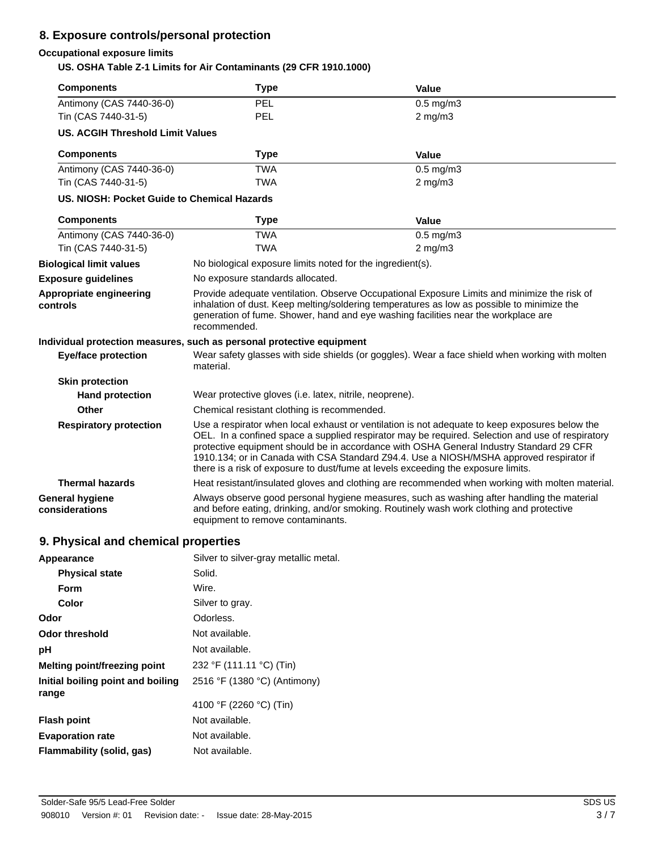## **8. Exposure controls/personal protection**

## **Occupational exposure limits**

**US. OSHA Table Z-1 Limits for Air Contaminants (29 CFR 1910.1000)**

| <b>Components</b>                           | <b>Type</b>                                                                                                                                                                                                                                                                                                                                                                                                                                                                   | <b>Value</b>   |  |
|---------------------------------------------|-------------------------------------------------------------------------------------------------------------------------------------------------------------------------------------------------------------------------------------------------------------------------------------------------------------------------------------------------------------------------------------------------------------------------------------------------------------------------------|----------------|--|
| Antimony (CAS 7440-36-0)                    | PEL                                                                                                                                                                                                                                                                                                                                                                                                                                                                           | $0.5$ mg/m $3$ |  |
| Tin (CAS 7440-31-5)                         | <b>PEL</b>                                                                                                                                                                                                                                                                                                                                                                                                                                                                    | $2$ mg/m $3$   |  |
| <b>US. ACGIH Threshold Limit Values</b>     |                                                                                                                                                                                                                                                                                                                                                                                                                                                                               |                |  |
| <b>Components</b>                           | <b>Type</b>                                                                                                                                                                                                                                                                                                                                                                                                                                                                   | Value          |  |
| Antimony (CAS 7440-36-0)                    | <b>TWA</b>                                                                                                                                                                                                                                                                                                                                                                                                                                                                    | $0.5$ mg/m $3$ |  |
| Tin (CAS 7440-31-5)                         | <b>TWA</b>                                                                                                                                                                                                                                                                                                                                                                                                                                                                    | $2$ mg/m $3$   |  |
| US. NIOSH: Pocket Guide to Chemical Hazards |                                                                                                                                                                                                                                                                                                                                                                                                                                                                               |                |  |
| <b>Components</b>                           | <b>Type</b>                                                                                                                                                                                                                                                                                                                                                                                                                                                                   | <b>Value</b>   |  |
| Antimony (CAS 7440-36-0)                    | <b>TWA</b>                                                                                                                                                                                                                                                                                                                                                                                                                                                                    | $0.5$ mg/m $3$ |  |
| Tin (CAS 7440-31-5)                         | <b>TWA</b>                                                                                                                                                                                                                                                                                                                                                                                                                                                                    | $2$ mg/m $3$   |  |
| <b>Biological limit values</b>              | No biological exposure limits noted for the ingredient(s).                                                                                                                                                                                                                                                                                                                                                                                                                    |                |  |
| <b>Exposure guidelines</b>                  | No exposure standards allocated.                                                                                                                                                                                                                                                                                                                                                                                                                                              |                |  |
| Appropriate engineering<br>controls         | Provide adequate ventilation. Observe Occupational Exposure Limits and minimize the risk of<br>inhalation of dust. Keep melting/soldering temperatures as low as possible to minimize the<br>generation of fume. Shower, hand and eye washing facilities near the workplace are<br>recommended.                                                                                                                                                                               |                |  |
|                                             | Individual protection measures, such as personal protective equipment                                                                                                                                                                                                                                                                                                                                                                                                         |                |  |
| <b>Eye/face protection</b>                  | Wear safety glasses with side shields (or goggles). Wear a face shield when working with molten<br>material.                                                                                                                                                                                                                                                                                                                                                                  |                |  |
| <b>Skin protection</b>                      |                                                                                                                                                                                                                                                                                                                                                                                                                                                                               |                |  |
| <b>Hand protection</b>                      | Wear protective gloves (i.e. latex, nitrile, neoprene).                                                                                                                                                                                                                                                                                                                                                                                                                       |                |  |
| Other                                       | Chemical resistant clothing is recommended.                                                                                                                                                                                                                                                                                                                                                                                                                                   |                |  |
| <b>Respiratory protection</b>               | Use a respirator when local exhaust or ventilation is not adequate to keep exposures below the<br>OEL. In a confined space a supplied respirator may be required. Selection and use of respiratory<br>protective equipment should be in accordance with OSHA General Industry Standard 29 CFR<br>1910.134; or in Canada with CSA Standard Z94.4. Use a NIOSH/MSHA approved respirator if<br>there is a risk of exposure to dust/fume at levels exceeding the exposure limits. |                |  |
| <b>Thermal hazards</b>                      | Heat resistant/insulated gloves and clothing are recommended when working with molten material.                                                                                                                                                                                                                                                                                                                                                                               |                |  |
| <b>General hygiene</b><br>considerations    | Always observe good personal hygiene measures, such as washing after handling the material<br>and before eating, drinking, and/or smoking. Routinely wash work clothing and protective<br>equipment to remove contaminants.                                                                                                                                                                                                                                                   |                |  |
| 9. Physical and chemical properties         |                                                                                                                                                                                                                                                                                                                                                                                                                                                                               |                |  |
| Appearance                                  | Silver to silver-gray metallic metal.                                                                                                                                                                                                                                                                                                                                                                                                                                         |                |  |

| <b>Physical state</b>                      | Solid.                       |
|--------------------------------------------|------------------------------|
| Form                                       | Wire.                        |
| Color                                      | Silver to gray.              |
| Odor                                       | Odorless.                    |
| <b>Odor threshold</b>                      | Not available.               |
| рH                                         | Not available.               |
| Melting point/freezing point               | 232 °F (111.11 °C) (Tin)     |
| Initial boiling point and boiling<br>range | 2516 °F (1380 °C) (Antimony) |
|                                            | 4100 °F (2260 °C) (Tin)      |
| <b>Flash point</b>                         | Not available.               |
| <b>Evaporation rate</b>                    | Not available.               |
| Flammability (solid, gas)                  | Not available.               |
|                                            |                              |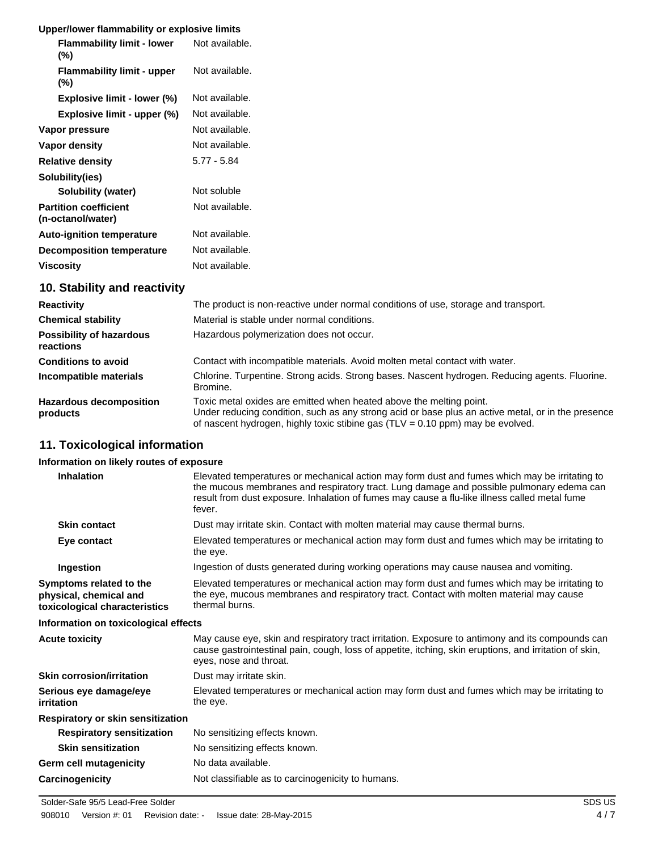## **Upper/lower flammability or explosive limits**

| <b>Flammability limit - lower</b><br>(%)          | Not available. |
|---------------------------------------------------|----------------|
| <b>Flammability limit - upper</b><br>(%)          | Not available. |
| Explosive limit - lower (%)                       | Not available. |
| Explosive limit - upper (%)                       | Not available. |
| Vapor pressure                                    | Not available. |
| Vapor density                                     | Not available. |
| <b>Relative density</b>                           | $5.77 - 5.84$  |
| Solubility(ies)                                   |                |
| Solubility (water)                                | Not soluble    |
| <b>Partition coefficient</b><br>(n-octanol/water) | Not available. |
| <b>Auto-ignition temperature</b>                  | Not available. |
| <b>Decomposition temperature</b>                  | Not available. |
| <b>Viscosity</b>                                  | Not available. |

## **10. Stability and reactivity**

| <b>Reactivity</b>                            | The product is non-reactive under normal conditions of use, storage and transport.                                                                                                                                                                            |  |
|----------------------------------------------|---------------------------------------------------------------------------------------------------------------------------------------------------------------------------------------------------------------------------------------------------------------|--|
| <b>Chemical stability</b>                    | Material is stable under normal conditions.                                                                                                                                                                                                                   |  |
| <b>Possibility of hazardous</b><br>reactions | Hazardous polymerization does not occur.                                                                                                                                                                                                                      |  |
| <b>Conditions to avoid</b>                   | Contact with incompatible materials. Avoid molten metal contact with water.                                                                                                                                                                                   |  |
| Incompatible materials                       | Chlorine. Turpentine. Strong acids. Strong bases. Nascent hydrogen. Reducing agents. Fluorine.<br>Bromine.                                                                                                                                                    |  |
| <b>Hazardous decomposition</b><br>products   | Toxic metal oxides are emitted when heated above the melting point.<br>Under reducing condition, such as any strong acid or base plus an active metal, or in the presence<br>of nascent hydrogen, highly toxic stibine gas $(TLV = 0.10$ ppm) may be evolved. |  |

## **11. Toxicological information**

## **Information on likely routes of exposure**

| <u>IIIIUIIII AIUUII UII IINEIVTUULES UI EXPOSULE</u>                               |                                                                                                                                                                                                                                                                                                      |
|------------------------------------------------------------------------------------|------------------------------------------------------------------------------------------------------------------------------------------------------------------------------------------------------------------------------------------------------------------------------------------------------|
| <b>Inhalation</b>                                                                  | Elevated temperatures or mechanical action may form dust and fumes which may be irritating to<br>the mucous membranes and respiratory tract. Lung damage and possible pulmonary edema can<br>result from dust exposure. Inhalation of fumes may cause a flu-like illness called metal fume<br>fever. |
| <b>Skin contact</b>                                                                | Dust may irritate skin. Contact with molten material may cause thermal burns.                                                                                                                                                                                                                        |
| Eye contact                                                                        | Elevated temperatures or mechanical action may form dust and fumes which may be irritating to<br>the eye.                                                                                                                                                                                            |
| Ingestion                                                                          | Ingestion of dusts generated during working operations may cause nausea and vomiting.                                                                                                                                                                                                                |
| Symptoms related to the<br>physical, chemical and<br>toxicological characteristics | Elevated temperatures or mechanical action may form dust and fumes which may be irritating to<br>the eye, mucous membranes and respiratory tract. Contact with molten material may cause<br>thermal burns.                                                                                           |
| Information on toxicological effects                                               |                                                                                                                                                                                                                                                                                                      |
| <b>Acute toxicity</b>                                                              | May cause eye, skin and respiratory tract irritation. Exposure to antimony and its compounds can<br>cause gastrointestinal pain, cough, loss of appetite, itching, skin eruptions, and irritation of skin,<br>eyes, nose and throat.                                                                 |
| Skin corrosion/irritation                                                          | Dust may irritate skin.                                                                                                                                                                                                                                                                              |
| Serious eye damage/eye<br>irritation                                               | Elevated temperatures or mechanical action may form dust and fumes which may be irritating to<br>the eye.                                                                                                                                                                                            |
| Respiratory or skin sensitization                                                  |                                                                                                                                                                                                                                                                                                      |
| <b>Respiratory sensitization</b>                                                   | No sensitizing effects known.                                                                                                                                                                                                                                                                        |
| <b>Skin sensitization</b>                                                          | No sensitizing effects known.                                                                                                                                                                                                                                                                        |
| Germ cell mutagenicity                                                             | No data available.                                                                                                                                                                                                                                                                                   |
| Carcinogenicity                                                                    | Not classifiable as to carcinogenicity to humans.                                                                                                                                                                                                                                                    |
|                                                                                    |                                                                                                                                                                                                                                                                                                      |

Solder-Safe 95/5 Lead-Free Solder Subsetse Solder Space 3 SDS US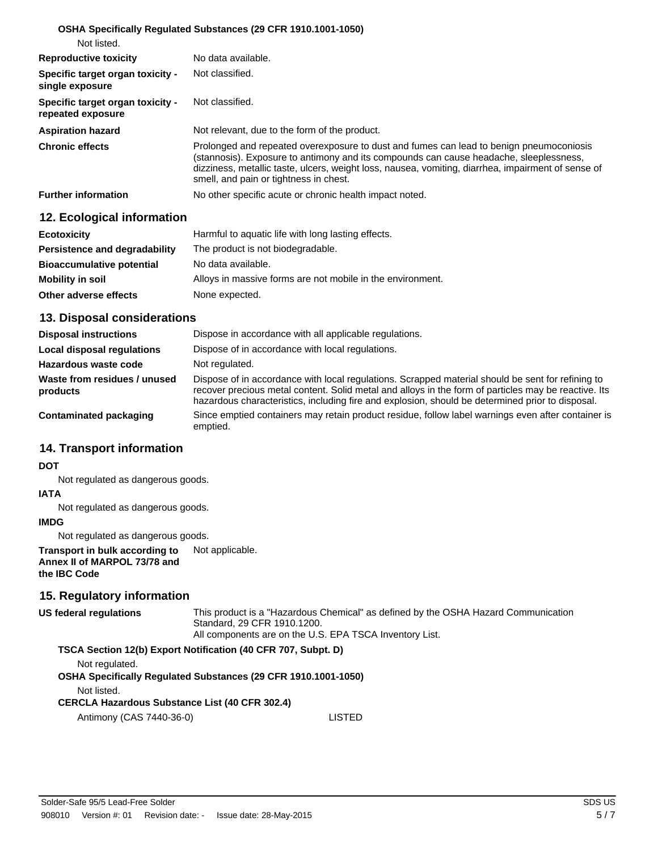#### **OSHA Specifically Regulated Substances (29 CFR 1910.1001-1050)**

| Not listed.                                           |                                                                                                                                                                                                                                                                                                                                   |
|-------------------------------------------------------|-----------------------------------------------------------------------------------------------------------------------------------------------------------------------------------------------------------------------------------------------------------------------------------------------------------------------------------|
| <b>Reproductive toxicity</b>                          | No data available.                                                                                                                                                                                                                                                                                                                |
| Specific target organ toxicity -<br>single exposure   | Not classified.                                                                                                                                                                                                                                                                                                                   |
| Specific target organ toxicity -<br>repeated exposure | Not classified.                                                                                                                                                                                                                                                                                                                   |
| <b>Aspiration hazard</b>                              | Not relevant, due to the form of the product.                                                                                                                                                                                                                                                                                     |
| <b>Chronic effects</b>                                | Prolonged and repeated overexposure to dust and fumes can lead to benign pneumoconiosis<br>(stannosis). Exposure to antimony and its compounds can cause headache, sleeplessness,<br>dizziness, metallic taste, ulcers, weight loss, nausea, vomiting, diarrhea, impairment of sense of<br>smell, and pain or tightness in chest. |
| <b>Further information</b>                            | No other specific acute or chronic health impact noted.                                                                                                                                                                                                                                                                           |

## **12. Ecological information**

| <b>Ecotoxicity</b>               | Harmful to aquatic life with long lasting effects.         |
|----------------------------------|------------------------------------------------------------|
| Persistence and degradability    | The product is not biodegradable.                          |
| <b>Bioaccumulative potential</b> | No data available.                                         |
| <b>Mobility in soil</b>          | Alloys in massive forms are not mobile in the environment. |
| Other adverse effects            | None expected.                                             |

#### **13. Disposal considerations**

| <b>Disposal instructions</b>             | Dispose in accordance with all applicable regulations.                                                                                                                                                                                                                                                        |
|------------------------------------------|---------------------------------------------------------------------------------------------------------------------------------------------------------------------------------------------------------------------------------------------------------------------------------------------------------------|
| Local disposal regulations               | Dispose of in accordance with local regulations.                                                                                                                                                                                                                                                              |
| Hazardous waste code                     | Not regulated.                                                                                                                                                                                                                                                                                                |
| Waste from residues / unused<br>products | Dispose of in accordance with local regulations. Scrapped material should be sent for refining to<br>recover precious metal content. Solid metal and alloys in the form of particles may be reactive. Its<br>hazardous characteristics, including fire and explosion, should be determined prior to disposal. |
| <b>Contaminated packaging</b>            | Since emptied containers may retain product residue, follow label warnings even after container is<br>emptied.                                                                                                                                                                                                |

## **14. Transport information**

#### **DOT**

Not regulated as dangerous goods.

#### **IATA**

Not regulated as dangerous goods.

#### **IMDG**

Not regulated as dangerous goods.

#### **Transport in bulk according to** Not applicable. **Annex II of MARPOL 73/78 and the IBC Code**

## **15. Regulatory information**

This product is a "Hazardous Chemical" as defined by the OSHA Hazard Communication Standard, 29 CFR 1910.1200. All components are on the U.S. EPA TSCA Inventory List. **US federal regulations TSCA Section 12(b) Export Notification (40 CFR 707, Subpt. D)** Not regulated. **OSHA Specifically Regulated Substances (29 CFR 1910.1001-1050)** Not listed. **CERCLA Hazardous Substance List (40 CFR 302.4)**

Antimony (CAS 7440-36-0) LISTED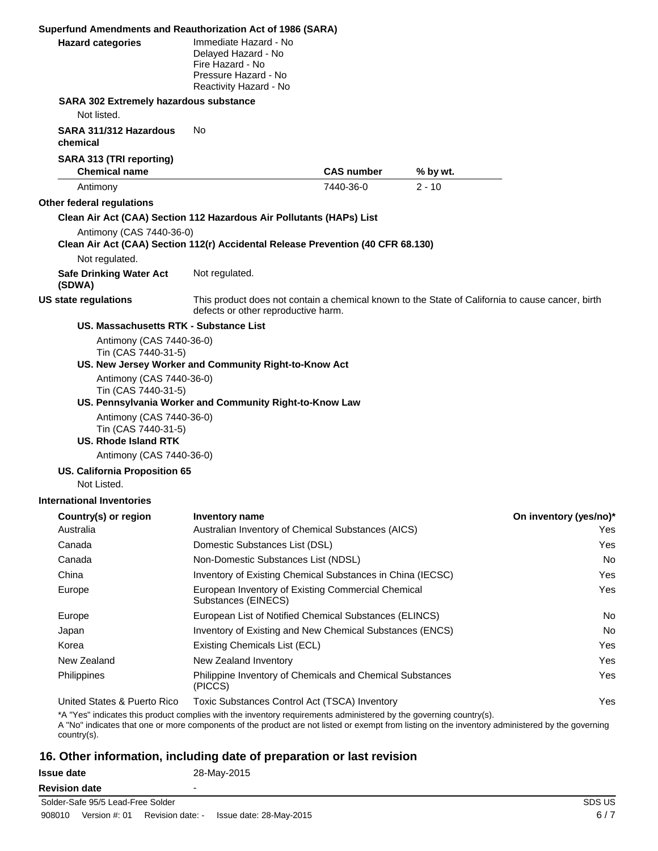| Superfund Amendments and Reauthorization Act of 1986 (SARA)                                                                                                                                                                                                            |                                                                                                                    |                                                            |          |                                                                                                  |
|------------------------------------------------------------------------------------------------------------------------------------------------------------------------------------------------------------------------------------------------------------------------|--------------------------------------------------------------------------------------------------------------------|------------------------------------------------------------|----------|--------------------------------------------------------------------------------------------------|
| <b>Hazard categories</b>                                                                                                                                                                                                                                               | Immediate Hazard - No<br>Delayed Hazard - No<br>Fire Hazard - No<br>Pressure Hazard - No<br>Reactivity Hazard - No |                                                            |          |                                                                                                  |
| SARA 302 Extremely hazardous substance                                                                                                                                                                                                                                 |                                                                                                                    |                                                            |          |                                                                                                  |
| Not listed.                                                                                                                                                                                                                                                            |                                                                                                                    |                                                            |          |                                                                                                  |
| SARA 311/312 Hazardous<br>chemical                                                                                                                                                                                                                                     | No.                                                                                                                |                                                            |          |                                                                                                  |
| <b>SARA 313 (TRI reporting)</b><br><b>Chemical name</b>                                                                                                                                                                                                                |                                                                                                                    | <b>CAS number</b>                                          | % by wt. |                                                                                                  |
| Antimony                                                                                                                                                                                                                                                               |                                                                                                                    | 7440-36-0                                                  | $2 - 10$ |                                                                                                  |
| Other federal regulations                                                                                                                                                                                                                                              |                                                                                                                    |                                                            |          |                                                                                                  |
| Clean Air Act (CAA) Section 112 Hazardous Air Pollutants (HAPs) List                                                                                                                                                                                                   |                                                                                                                    |                                                            |          |                                                                                                  |
| Antimony (CAS 7440-36-0)<br>Clean Air Act (CAA) Section 112(r) Accidental Release Prevention (40 CFR 68.130)                                                                                                                                                           |                                                                                                                    |                                                            |          |                                                                                                  |
| Not regulated.                                                                                                                                                                                                                                                         |                                                                                                                    |                                                            |          |                                                                                                  |
| <b>Safe Drinking Water Act</b><br>(SDWA)                                                                                                                                                                                                                               | Not regulated.                                                                                                     |                                                            |          |                                                                                                  |
| <b>US state regulations</b>                                                                                                                                                                                                                                            | defects or other reproductive harm.                                                                                |                                                            |          | This product does not contain a chemical known to the State of California to cause cancer, birth |
| US. Massachusetts RTK - Substance List                                                                                                                                                                                                                                 |                                                                                                                    |                                                            |          |                                                                                                  |
| Antimony (CAS 7440-36-0)<br>Tin (CAS 7440-31-5)                                                                                                                                                                                                                        | US. New Jersey Worker and Community Right-to-Know Act                                                              |                                                            |          |                                                                                                  |
| Antimony (CAS 7440-36-0)<br>Tin (CAS 7440-31-5)                                                                                                                                                                                                                        | US. Pennsylvania Worker and Community Right-to-Know Law                                                            |                                                            |          |                                                                                                  |
| Antimony (CAS 7440-36-0)<br>Tin (CAS 7440-31-5)<br><b>US. Rhode Island RTK</b><br>Antimony (CAS 7440-36-0)                                                                                                                                                             |                                                                                                                    |                                                            |          |                                                                                                  |
| <b>US. California Proposition 65</b><br>Not Listed.                                                                                                                                                                                                                    |                                                                                                                    |                                                            |          |                                                                                                  |
| International Inventories                                                                                                                                                                                                                                              |                                                                                                                    |                                                            |          |                                                                                                  |
| Country(s) or region                                                                                                                                                                                                                                                   | <b>Inventory name</b>                                                                                              |                                                            |          | On inventory (yes/no)*                                                                           |
| Australia                                                                                                                                                                                                                                                              |                                                                                                                    | Australian Inventory of Chemical Substances (AICS)         |          | Yes                                                                                              |
| Canada                                                                                                                                                                                                                                                                 | Domestic Substances List (DSL)                                                                                     |                                                            |          | Yes                                                                                              |
| Canada                                                                                                                                                                                                                                                                 | Non-Domestic Substances List (NDSL)                                                                                |                                                            |          | No                                                                                               |
| China                                                                                                                                                                                                                                                                  |                                                                                                                    | Inventory of Existing Chemical Substances in China (IECSC) |          | Yes                                                                                              |
| Europe                                                                                                                                                                                                                                                                 | Substances (EINECS)                                                                                                | European Inventory of Existing Commercial Chemical         |          | Yes                                                                                              |
| Europe                                                                                                                                                                                                                                                                 |                                                                                                                    | European List of Notified Chemical Substances (ELINCS)     |          | No                                                                                               |
| Japan                                                                                                                                                                                                                                                                  |                                                                                                                    | Inventory of Existing and New Chemical Substances (ENCS)   |          | No                                                                                               |
| Korea                                                                                                                                                                                                                                                                  | Existing Chemicals List (ECL)                                                                                      |                                                            |          | Yes                                                                                              |
| New Zealand                                                                                                                                                                                                                                                            | New Zealand Inventory                                                                                              |                                                            |          | Yes                                                                                              |
| Philippines                                                                                                                                                                                                                                                            | (PICCS)                                                                                                            | Philippine Inventory of Chemicals and Chemical Substances  |          | Yes                                                                                              |
| United States & Puerto Rico                                                                                                                                                                                                                                            |                                                                                                                    | Toxic Substances Control Act (TSCA) Inventory              |          | Yes                                                                                              |
| *A "Yes" indicates this product complies with the inventory requirements administered by the governing country(s).<br>A "No" indicates that one or more components of the product are not listed or exempt from listing on the inventory administered by the governing |                                                                                                                    |                                                            |          |                                                                                                  |

country(s).

## **16. Other information, including date of preparation or last revision**

| <b>Issue date</b>                 | 28-May-2015              |
|-----------------------------------|--------------------------|
| <b>Revision date</b>              | $\overline{\phantom{0}}$ |
| Solder-Safe 95/5 Lead-Free Solder | <b>SDS US</b>            |